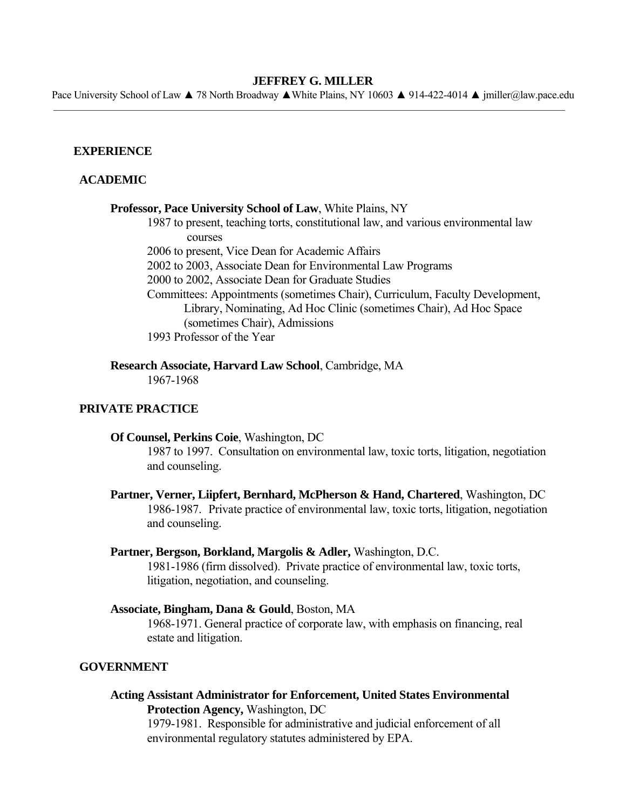#### **JEFFREY G. MILLER**

Pace University School of Law ▲ 78 North Broadway ▲White Plains, NY 10603 ▲ 914-422-4014 ▲ jmiller@law.pace.edu

## **EXPERIENCE**

# **ACADEMIC**

#### **Professor, Pace University School of Law**, White Plains, NY

1987 to present, teaching torts, constitutional law, and various environmental law courses

2006 to present, Vice Dean for Academic Affairs

2002 to 2003, Associate Dean for Environmental Law Programs

- 2000 to 2002, Associate Dean for Graduate Studies
- Committees: Appointments (sometimes Chair), Curriculum, Faculty Development, Library, Nominating, Ad Hoc Clinic (sometimes Chair), Ad Hoc Space (sometimes Chair), Admissions

1993 Professor of the Year

 **Research Associate, Harvard Law School**, Cambridge, MA

1967-1968

# **PRIVATE PRACTICE**

### **Of Counsel, Perkins Coie**, Washington, DC

1987 to 1997. Consultation on environmental law, toxic torts, litigation, negotiation and counseling.

 **Partner, Verner, Liipfert, Bernhard, McPherson & Hand, Chartered**, Washington, DC 1986-1987. Private practice of environmental law, toxic torts, litigation, negotiation and counseling.

### **Partner, Bergson, Borkland, Margolis & Adler,** Washington, D.C.

 1981-1986 (firm dissolved). Private practice of environmental law, toxic torts, litigation, negotiation, and counseling.

## **Associate, Bingham, Dana & Gould**, Boston, MA

1968-1971. General practice of corporate law, with emphasis on financing, real estate and litigation.

## **GOVERNMENT**

 **Acting Assistant Administrator for Enforcement, United States Environmental Protection Agency,** Washington, DC 1979-1981. Responsible for administrative and judicial enforcement of all

environmental regulatory statutes administered by EPA.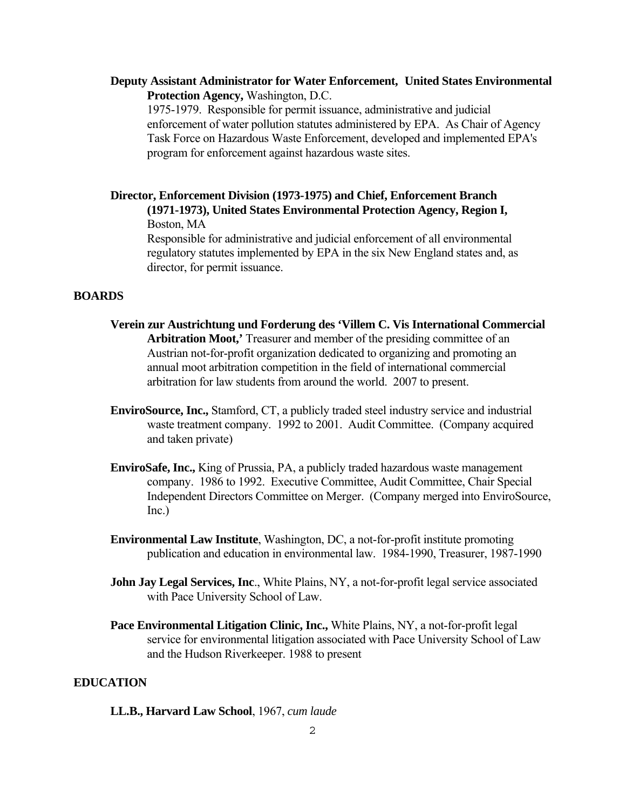# **Deputy Assistant Administrator for Water Enforcement, United States Environmental Protection Agency,** Washington, D.C.

1975-1979. Responsible for permit issuance, administrative and judicial enforcement of water pollution statutes administered by EPA. As Chair of Agency Task Force on Hazardous Waste Enforcement, developed and implemented EPA's program for enforcement against hazardous waste sites.

 **Director, Enforcement Division (1973-1975) and Chief, Enforcement Branch (1971-1973), United States Environmental Protection Agency, Region I,** Boston, MA

Responsible for administrative and judicial enforcement of all environmental regulatory statutes implemented by EPA in the six New England states and, as director, for permit issuance.

### **BOARDS**

- **Verein zur Austrichtung und Forderung des 'Villem C. Vis International Commercial Arbitration Moot,'** Treasurer and member of the presiding committee of an Austrian not-for-profit organization dedicated to organizing and promoting an annual moot arbitration competition in the field of international commercial arbitration for law students from around the world. 2007 to present.
- **EnviroSource, Inc.,** Stamford, CT, a publicly traded steel industry service and industrial waste treatment company. 1992 to 2001. Audit Committee. (Company acquired and taken private)
- **EnviroSafe, Inc.,** King of Prussia, PA, a publicly traded hazardous waste management company. 1986 to 1992. Executive Committee, Audit Committee, Chair Special Independent Directors Committee on Merger. (Company merged into EnviroSource, Inc.)
- **Environmental Law Institute**, Washington, DC, a not-for-profit institute promoting publication and education in environmental law. 1984-1990, Treasurer, 1987-1990
- **John Jay Legal Services, Inc., White Plains, NY, a not-for-profit legal service associated** with Pace University School of Law.
- **Pace Environmental Litigation Clinic, Inc.,** White Plains, NY, a not-for-profit legal service for environmental litigation associated with Pace University School of Law and the Hudson Riverkeeper. 1988 to present

# **EDUCATION**

 **LL.B., Harvard Law School**, 1967, *cum laude*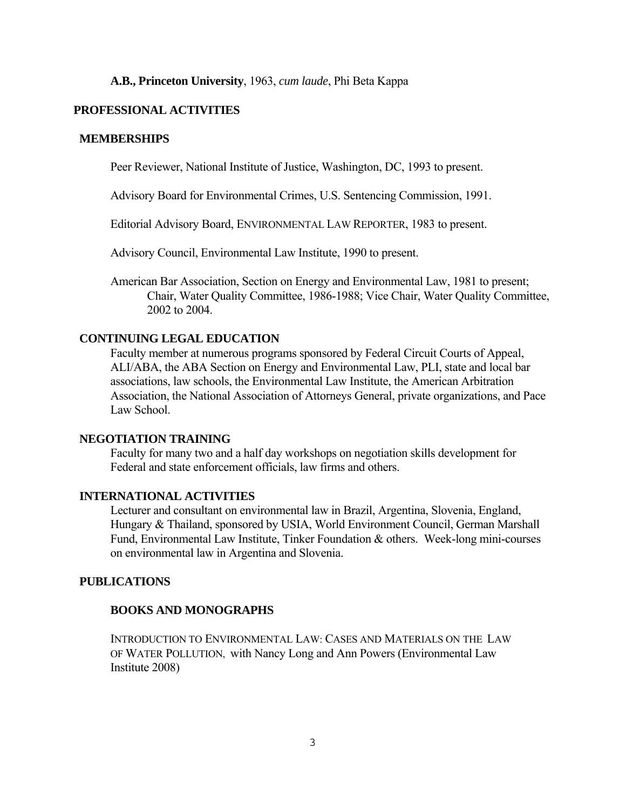## **A.B., Princeton University**, 1963, *cum laude*, Phi Beta Kappa

#### **PROFESSIONAL ACTIVITIES**

#### **MEMBERSHIPS**

Peer Reviewer, National Institute of Justice, Washington, DC, 1993 to present.

Advisory Board for Environmental Crimes, U.S. Sentencing Commission, 1991.

Editorial Advisory Board, ENVIRONMENTAL LAW REPORTER, 1983 to present.

Advisory Council, Environmental Law Institute, 1990 to present.

 American Bar Association, Section on Energy and Environmental Law, 1981 to present; Chair, Water Quality Committee, 1986-1988; Vice Chair, Water Quality Committee, 2002 to 2004.

# **CONTINUING LEGAL EDUCATION**

 Faculty member at numerous programs sponsored by Federal Circuit Courts of Appeal, ALI/ABA, the ABA Section on Energy and Environmental Law, PLI, state and local bar associations, law schools, the Environmental Law Institute, the American Arbitration Association, the National Association of Attorneys General, private organizations, and Pace Law School.

## **NEGOTIATION TRAINING**

 Faculty for many two and a half day workshops on negotiation skills development for Federal and state enforcement officials, law firms and others.

## **INTERNATIONAL ACTIVITIES**

 Lecturer and consultant on environmental law in Brazil, Argentina, Slovenia, England, Hungary & Thailand, sponsored by USIA, World Environment Council, German Marshall Fund, Environmental Law Institute, Tinker Foundation & others. Week-long mini-courses on environmental law in Argentina and Slovenia.

#### **PUBLICATIONS**

# **BOOKS AND MONOGRAPHS**

 INTRODUCTION TO ENVIRONMENTAL LAW: CASES AND MATERIALS ON THE LAW OF WATER POLLUTION, with Nancy Long and Ann Powers (Environmental Law Institute 2008)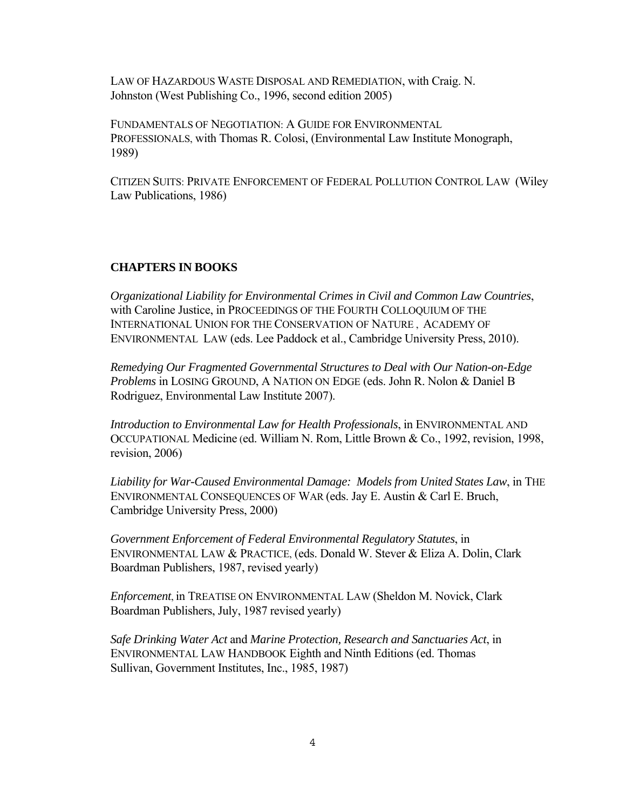LAW OF HAZARDOUS WASTE DISPOSAL AND REMEDIATION, with Craig. N. Johnston (West Publishing Co., 1996, second edition 2005)

 FUNDAMENTALS OF NEGOTIATION: A GUIDE FOR ENVIRONMENTAL PROFESSIONALS, with Thomas R. Colosi, (Environmental Law Institute Monograph, 1989)

 CITIZEN SUITS: PRIVATE ENFORCEMENT OF FEDERAL POLLUTION CONTROL LAW (Wiley Law Publications, 1986)

### **CHAPTERS IN BOOKS**

*Organizational Liability for Environmental Crimes in Civil and Common Law Countries*, with Caroline Justice, in PROCEEDINGS OF THE FOURTH COLLOQUIUM OF THE INTERNATIONAL UNION FOR THE CONSERVATION OF NATURE , ACADEMY OF ENVIRONMENTAL LAW (eds. Lee Paddock et al., Cambridge University Press, 2010).

*Remedying Our Fragmented Governmental Structures to Deal with Our Nation-on-Edge Problems* in LOSING GROUND, A NATION ON EDGE (eds. John R. Nolon & Daniel B Rodriguez, Environmental Law Institute 2007).

*Introduction to Environmental Law for Health Professionals*, in ENVIRONMENTAL AND OCCUPATIONAL Medicine (ed. William N. Rom, Little Brown & Co., 1992, revision, 1998, revision, 2006)

 *Liability for War-Caused Environmental Damage: Models from United States Law*, in THE ENVIRONMENTAL CONSEQUENCES OF WAR (eds. Jay E. Austin & Carl E. Bruch, Cambridge University Press, 2000)

*Government Enforcement of Federal Environmental Regulatory Statutes*, in ENVIRONMENTAL LAW & PRACTICE, (eds. Donald W. Stever & Eliza A. Dolin, Clark Boardman Publishers, 1987, revised yearly)

*Enforcement*, in TREATISE ON ENVIRONMENTAL LAW (Sheldon M. Novick, Clark Boardman Publishers, July, 1987 revised yearly)

*Safe Drinking Water Act* and *Marine Protection, Research and Sanctuaries Act*, in ENVIRONMENTAL LAW HANDBOOK Eighth and Ninth Editions (ed. Thomas Sullivan, Government Institutes, Inc., 1985, 1987)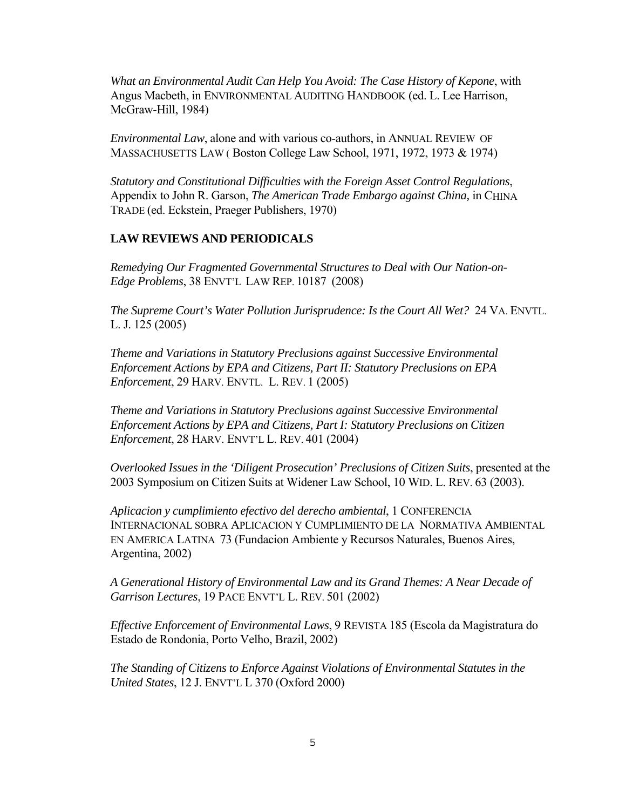*What an Environmental Audit Can Help You Avoid: The Case History of Kepone*, with Angus Macbeth, in ENVIRONMENTAL AUDITING HANDBOOK (ed. L. Lee Harrison, McGraw-Hill, 1984)

*Environmental Law*, alone and with various co-authors, in ANNUAL REVIEW OF MASSACHUSETTS LAW ( Boston College Law School, 1971, 1972, 1973 & 1974)

*Statutory and Constitutional Difficulties with the Foreign Asset Control Regulations*, Appendix to John R. Garson, *The American Trade Embargo against China,* in CHINA TRADE (ed. Eckstein, Praeger Publishers, 1970)

# **LAW REVIEWS AND PERIODICALS**

*Remedying Our Fragmented Governmental Structures to Deal with Our Nation-on- Edge Problems*, 38 ENVT'L LAW REP. 10187 (2008)

*The Supreme Court's Water Pollution Jurisprudence: Is the Court All Wet?* 24 VA. ENVTL. L. J. 125 (2005)

*Theme and Variations in Statutory Preclusions against Successive Environmental Enforcement Actions by EPA and Citizens, Part II: Statutory Preclusions on EPA Enforcement*, 29 HARV. ENVTL. L. REV. 1 (2005)

*Theme and Variations in Statutory Preclusions against Successive Environmental Enforcement Actions by EPA and Citizens, Part I: Statutory Preclusions on Citizen Enforcement*, 28 HARV. ENVT'L L. REV. 401 (2004)

*Overlooked Issues in the 'Diligent Prosecution' Preclusions of Citizen Suits*, presented at the 2003 Symposium on Citizen Suits at Widener Law School, 10 WID. L. REV. 63 (2003).

*Aplicacion y cumplimiento efectivo del derecho ambiental*, 1 CONFERENCIA INTERNACIONAL SOBRA APLICACION Y CUMPLIMIENTO DE LA NORMATIVA AMBIENTAL EN AMERICA LATINA 73 (Fundacion Ambiente y Recursos Naturales, Buenos Aires, Argentina, 2002)

*A Generational History of Environmental Law and its Grand Themes: A Near Decade of Garrison Lectures*, 19 PACE ENVT'L L. REV. 501 (2002)

*Effective Enforcement of Environmental Laws*, 9 REVISTA 185 (Escola da Magistratura do Estado de Rondonia, Porto Velho, Brazil, 2002)

*The Standing of Citizens to Enforce Against Violations of Environmental Statutes in the United States*, 12 J. ENVT'L L 370 (Oxford 2000)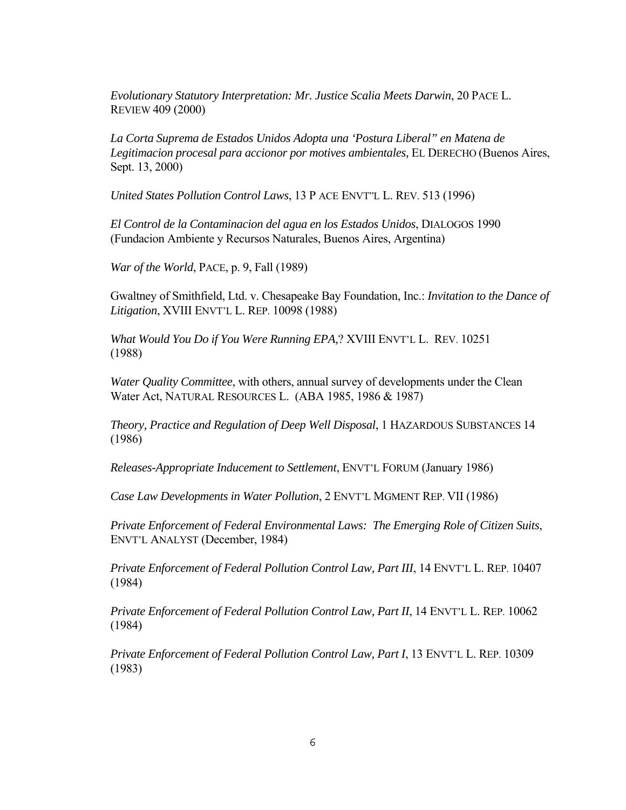*Evolutionary Statutory Interpretation: Mr. Justice Scalia Meets Darwin*, 20 PACE L. REVIEW 409 (2000)

*La Corta Suprema de Estados Unidos Adopta una 'Postura Liberal" en Matena de Legitimacion procesal para accionor por motives ambientales,* EL DERECHO (Buenos Aires, Sept. 13, 2000)

 *United States Pollution Control Laws*, 13 P ACE ENVT"L L. REV. 513 (1996)

*El Control de la Contaminacion del agua en los Estados Unidos*, DIALOGOS 1990 (Fundacion Ambiente y Recursos Naturales, Buenos Aires, Argentina)

*War of the World*, PACE, p. 9, Fall (1989)

 Gwaltney of Smithfield, Ltd. v. Chesapeake Bay Foundation, Inc.: *Invitation to the Dance of Litigation*, XVIII ENVT'L L. REP. 10098 (1988)

*What Would You Do if You Were Running EPA,*? XVIII ENVT'L L. REV. 10251 (1988)

*Water Quality Committee*, with others, annual survey of developments under the Clean Water Act, NATURAL RESOURCES L. (ABA 1985, 1986 & 1987)

*Theory, Practice and Regulation of Deep Well Disposal*, 1 HAZARDOUS SUBSTANCES 14 (1986)

*Releases-Appropriate Inducement to Settlement*, ENVT'L FORUM (January 1986)

*Case Law Developments in Water Pollution*, 2 ENVT'L MGMENT REP. VII (1986)

*Private Enforcement of Federal Environmental Laws: The Emerging Role of Citizen Suits*, ENVT'L ANALYST (December, 1984)

*Private Enforcement of Federal Pollution Control Law, Part III*, 14 ENVT'L L. REP. 10407 (1984)

*Private Enforcement of Federal Pollution Control Law, Part II*, 14 ENVT'L L. REP. 10062 (1984)

*Private Enforcement of Federal Pollution Control Law, Part I*, 13 ENVT'L L. REP. 10309 (1983)